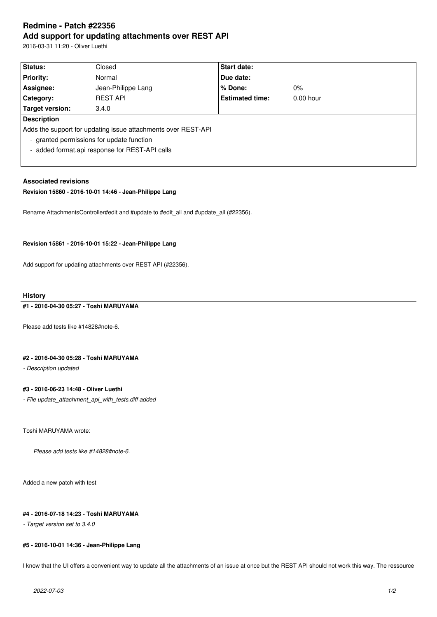# **Redmine - Patch #22356 Add support for updating attachments over REST API**

2016-03-31 11:20 - Oliver Luethi

| Status:            | Closed                                                        | <b>Start date:</b>     |             |  |
|--------------------|---------------------------------------------------------------|------------------------|-------------|--|
| <b>Priority:</b>   | Normal                                                        | Due date:              |             |  |
| Assignee:          | Jean-Philippe Lang                                            | % Done:                | $0\%$       |  |
| Category:          | <b>REST API</b>                                               | <b>Estimated time:</b> | $0.00$ hour |  |
| Target version:    | 3.4.0                                                         |                        |             |  |
| <b>Description</b> |                                                               |                        |             |  |
|                    | Adds the support for updating issue attachments over REST-API |                        |             |  |
|                    | - granted permissions for update function                     |                        |             |  |
|                    | - added format.api response for REST-API calls                |                        |             |  |
|                    |                                                               |                        |             |  |

# **Associated revisions**

# **Revision 15860 - 2016-10-01 14:46 - Jean-Philippe Lang**

Rename AttachmentsController#edit and #update to #edit\_all and #update\_all (#22356).

#### **Revision 15861 - 2016-10-01 15:22 - Jean-Philippe Lang**

Add support for updating attachments over REST API (#22356).

#### **History**

#### **#1 - 2016-04-30 05:27 - Toshi MARUYAMA**

Please add tests like #14828#note-6.

# **#2 - 2016-04-30 05:28 - Toshi MARUYAMA**

*- Description updated*

# **#3 - 2016-06-23 14:48 - Oliver Luethi**

*- File update\_attachment\_api\_with\_tests.diff added*

Toshi MARUYAMA wrote:

*Please add tests like #14828#note-6.*

Added a new patch with test

#### **#4 - 2016-07-18 14:23 - Toshi MARUYAMA**

*- Target version set to 3.4.0*

#### **#5 - 2016-10-01 14:36 - Jean-Philippe Lang**

I know that the UI offers a convenient way to update all the attachments of an issue at once but the REST API should not work this way. The ressource